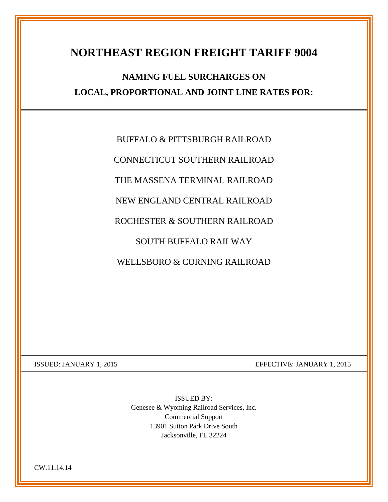## **NORTHEAST REGION FREIGHT TARIFF 9004**

## **NAMING FUEL SURCHARGES ON LOCAL, PROPORTIONAL AND JOINT LINE RATES FOR:**

BUFFALO & PITTSBURGH RAILROAD

CONNECTICUT SOUTHERN RAILROAD

THE MASSENA TERMINAL RAILROAD

NEW ENGLAND CENTRAL RAILROAD

ROCHESTER & SOUTHERN RAILROAD

SOUTH BUFFALO RAILWAY

WELLSBORO & CORNING RAILROAD

ISSUED: JANUARY 1, 2015 EFFECTIVE: JANUARY 1, 2015

ISSUED BY: Genesee & Wyoming Railroad Services, Inc. Commercial Support 13901 Sutton Park Drive South Jacksonville, FL 32224

CW.11.14.14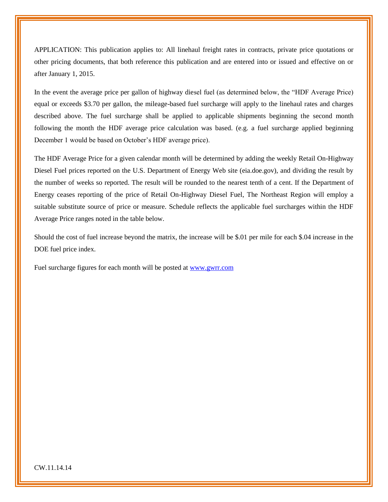APPLICATION: This publication applies to: All linehaul freight rates in contracts, private price quotations or other pricing documents, that both reference this publication and are entered into or issued and effective on or after January 1, 2015.

In the event the average price per gallon of highway diesel fuel (as determined below, the "HDF Average Price) equal or exceeds \$3.70 per gallon, the mileage-based fuel surcharge will apply to the linehaul rates and charges described above. The fuel surcharge shall be applied to applicable shipments beginning the second month following the month the HDF average price calculation was based. (e.g. a fuel surcharge applied beginning December 1 would be based on October's HDF average price).

The HDF Average Price for a given calendar month will be determined by adding the weekly Retail On-Highway Diesel Fuel prices reported on the U.S. Department of Energy Web site (eia.doe.gov), and dividing the result by the number of weeks so reported. The result will be rounded to the nearest tenth of a cent. If the Department of Energy ceases reporting of the price of Retail On-Highway Diesel Fuel, The Northeast Region will employ a suitable substitute source of price or measure. Schedule reflects the applicable fuel surcharges within the HDF Average Price ranges noted in the table below.

Should the cost of fuel increase beyond the matrix, the increase will be \$.01 per mile for each \$.04 increase in the DOE fuel price index.

Fuel surcharge figures for each month will be posted at [www.gwrr.com](http://www.gwrr.com/)